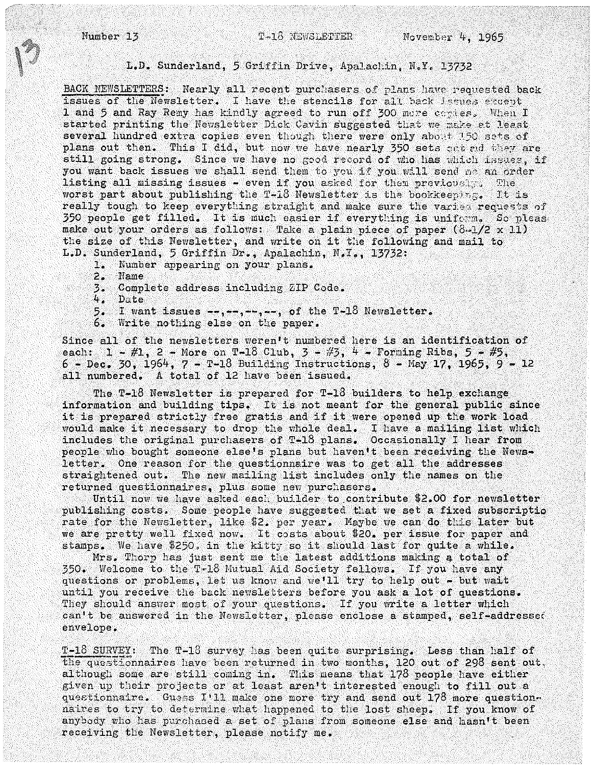Number 13 November 4, 1965

## L.D. Sunderland, 5 Griffin Drive, Apalachin, N.Y. 13732

BACK NEWSLETTERS: Nearly all recent purchasers of plans have requested back issues of the Newsletter. I have the stencils for all back issues except 1 and 5 and Ray Remy has kindly agreed to run off 300 mere copies. When I started printing the Newsletter Dick Cavin suggested that we make at least several hundred extra copies even though there were only about 150 sets of plans out then. This I did, but now we have nearly 350 sets out and they are still going strong. Since we have no good record of who has which issues, if you want back issues we shall send them to you if you will send me an order listing all missing issues - even if you asked for them previously. The listing all missing issues - even if you asked for them previously. The worst part about publishing the T-18 Newsletter is the bookkeeping. It is worst part about publishing the T-18 Newsletter is the bookkeeping. really tough to keep everything straight and make sure the varied requests of 350 people get filled. It is much easier if everything is uniform. So please make out your orders as follows: Take a plain piece of paper  $(8-1/2 \times 11)$ the size of this Newsletter, and write on it the following and mail to L.D. Sunderland, 5 Griffin Dr., Apalachin, N.Y., 13732:

- 1. Number appearing on your plans.
- 2. Name
- 3. Complete address including ZIP Code.
- 4. Date
- 5. I want issues --,--,--,--, of the T-18 Newsletter.<br>6. Write nothing else on the paper.
- Write nothing else on the paper.

Since all of the newsletters weren't numbered here is an identification of each:  $1 - #1$ ,  $2 - More$  on  $T-18$  Club,  $3 - #3$ ,  $4 - Forning$  Ribs,  $5 - #5$ ,  $6$  - Dec. 30, 1964,  $7$  - T-18 Building Instructions,  $8$  - May 17, 1965,  $9$  - 12 all numbered. A total of 12 have been issued.

The T-18 Newsletter is prepared for T-18 builders to help exchange information and building tips. It is not meant for the general public since it is prepared strictly free gratis and if it were opened up the work load would make it necessary to drop the whole deal. I have a mailing list which includes the original purchasers of  $T-18$  plans. Occasionally I hear from people who bought someone else's plans but haven't been receiving the Newsletter. One reason for the questionnaire was to get all the addresses straightened out. The new mailing list includes only the names on the returned questionnaires, plus some new purchasers.

Until now we have asked each builder to contribute \$2.00 for newsletter publishing costs. Some people have suggested that we set a fixed subscriptio rate for the Newsletter, like \$2. per year. Maybe we can do this later but we are pretty well fixed now. It costs about \$20. per issue for paper and stamps. We have \$250. in the kitty so it should last for quite a while.

Mrs. Thorp has just sent me the latest additions making a total of 350. Welcome to the T-18 Mutual Aid Society fellows. If you have any questions or problems, let us know and we'll try to help out - but wait until you receive the back newsletters before you ask a lot of questions. They should answer most of your questions. If you write a letter which can't be answered in the Newsletter, please enclose a stamped, self-addressed envelope.

 $T-18$  SURVEY: The T-18 survey has been quite surprising. Less than half of the questionnaires have been returned in two months, 120 out of 298 sent out, although some are still coming in. This means that  $178$  people have either given up their projects or at least aren't interested enough to fill out a questionnaire. Guess  $I'11$  make one more try and send out  $178$  more question. naires to try to determine what happened to the lost sheep. If you know of anybody who has purchased a set of plans from someone else and hasn't been receiving the Newsletter, please notify me.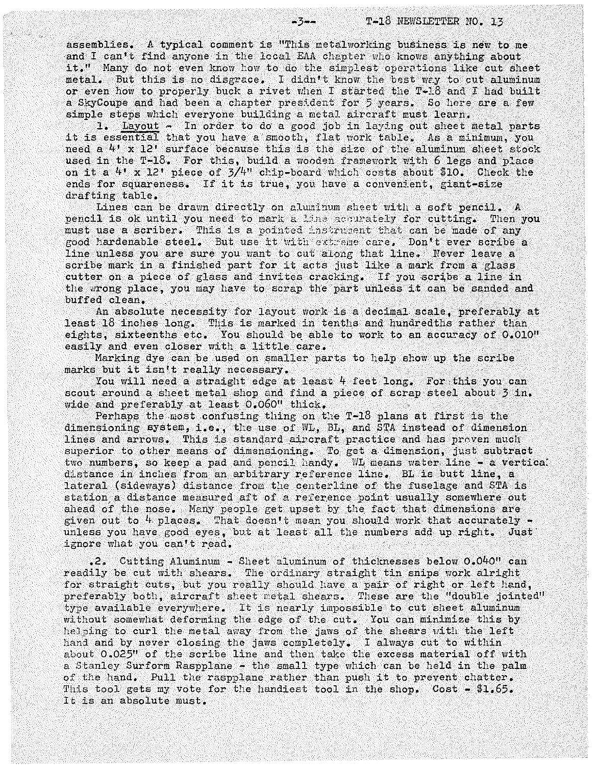assemblies. A typical comment is "This metalworking business is new to me and I can't find anyone in the local EAA chapter who knows anything about it." Many do not even know how to do the simplest operations like cut sheet metal. But this is no disgrace. I didn't know the best way to cut aluminum or even how to properly buck a rivet when I started the  $T-18$  and I had built a SkyCoupe and had been a chapter president for 5 years. So here are a few simple steps which everyone building a metal aircraft must learn.

1. Layout - In order to do a good job in laying out sheet metal parts it is essential that you have a smooth, flat work table. As a minimum, you need a  $4'$  x 12' surface because this is the size of the aluminum sheet stock used in the  $T-18$ . For this, build a wooden framework with 6 legs and place on it a  $4'$  x 12' piece of  $3/4''$  chip-board which costs about \$10. Check the ends for squareness. If it is true, you have a convenient, giant-size drafting table.

Lines can be drawn directly on aluminum sheet with a soft pencil. A pencil is ok until you need to mark a  $lim_{n\to\infty}$  accurately for cutting. Then you must use a scriber. This is a pointed instrument that can be made of any good hardenable steel. But use it with extreme care. Don't ever scribe a line unless you are sure you want to cut along that line. Never leave a scribe mark in a finished part for it acts just like a mark from a glass cutter on a piece of glass and invites cracking. If you scribe a line in the wrong place, you may have to scrap the part unless it can be sanded and buffed clean.

An absolute necessity for layout work is a decimal scale, preferably at least 18 inches long. This is marked in tenths and hundredths rather than eights, sixteenths etc. You should be able to work to an accuracy of  $0.010"$ easily and even closer with a little care.

Marking dye can be used on smaller parts to help show up the scribe marks but it isn't really necessary.

You will need a straight edge at least  $4$  feet long. For this you can scout around a sheet metal shop and find a piece of scrap steel about 3 in. reast 10 inches long. This is marked in tenths and mundeutine<br>eights, sixteenths etc. You should be able to work to an acc<br>easily and even closer with a little care.<br>Marking dye can be used on smaller parts to help show up wide and preferably at least  $0.060$ " thick.<br>Perhaps the most confusing thing on the T-18 plans at first is the

dimensioning system, i.e., the use of  $W_L$ , BL, and STA instead of dimension lines and arrows. This is standard aircraft practice and has proven much superior to other means of dimensioning. To get a dimension, just subtract two numbers, so keep a pad and pencil handy. WI means water line - a vertical distance in inches from an arbitrary reference line. BL is butt line, a lateral (sideways) distance from the centerline of the fuselage and STA is station a distance measured aft of a reference point usually somewhere out ahead of the nose. Many people get upset by the fact that dimensions are given out to  $4$  places. That doesn't mean you should work that accurately  $\sim$ unless you have good eyes, but at least all the numbers add up right. Just ignore what you can't read.

• 2. Cutting Aluminum - Sheet aluminum of thicknesses below 0.040" can readily be cut with shears. The ordinary straight tin snips work alright for straight cuts, but you really should have a pair of right or left hand, preferably both, aircraft sheet metal shears. These are the "double jointed" type available everywhere. It is nearly impossible to cut sheet aluminum without somewhat deforming the edge of the cut. You can minimize this by helping to curl the metal away from the jaws of the shears with the left hand and by never closing the jaws completely. I always cut to within about 0.025" of the scribe line and then take the excess material off with a Stanley Surform Raspplane - the small type which can be held in the palm of the hand. Pull the raspplane rather than push it to prevent chatter. This tool gets my vote for the handiest tool in the shop. Cost - \$1.65. It is an absolute must.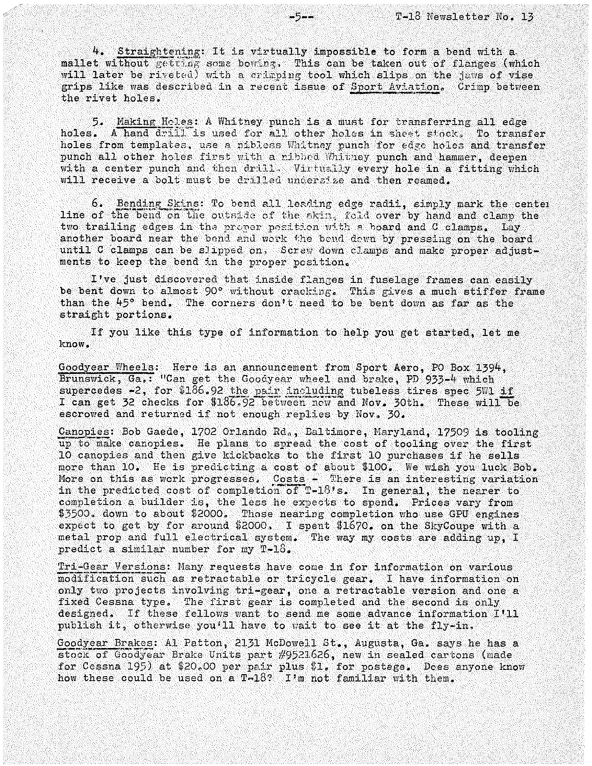$4.5$  Straightening: It is virtually impossible to form a bend with a mallet without getting some bowing. This can be taken out of flanges (which will later be riveted) with a crimping tool which slips on the jaws of vise grips like was described in a recent issue of Sport Aviation. Crimp between the rivet holes. <sup>-5</sup><br>-5--<br>T-18 Ne<br>4. <u>Straightening</u>: It is virtually impossible to form a<br>mallet without getting some bowing. This can be taken out o<br>will later be riveted) with a crimping tool which slips on the<br>grips like was described

5. Making Holes: A Whitney punch is a must for transferring all edge holes. A hand drill is used for all other holes in sheet stock, To transfer holes from templates, use a nibless Whitney punch for edge holes and transfer punch all other holes first with a nibbed Whitney punch and hammer, deepen with a center punch and then drill. Virtually every hole in a fitting which will receive a bolt must be drilled undersize and then reamed.

6. Bending Skins: To bend all leading edge radii, simply mark the center line of the bend on the outside of the skin, fold over by hand and clamp the two trailing edges in the proper position with a hoard and C clamps. Lay another board near the bend and work the bond down by pressing on the board until C clamps can be slipped on, Screw down clamps and make proper adjustments to keep the bend in the proper position.

I've just discovered that inside flanges in fuselage frames can easily be bent down to almost 90° without cracking. This gives a much stiffer frame than the  $45^{\circ}$  bend. The corners don't need to be bent down as far as the straight portions.

If you like this type of information to help you get started, let me know.

Goodyear Wheels: Here is an announcement from Sport Aero, PO Box 1394, Brunswick, Ga.: "Can get the Goodyear wheel and brake, PD 933-4 which supercedes  $-2$ , for  $$186.92$  the pair including tubeless tires spec 5W1 if I can get 32 checks for  $$186.92$  between now and Nov. 30th. These will be escrowed and returned if not enough replies by Nov. 30.

Canopies: Bob Gaede, 1702 Orlando Rd., Baltimore, Maryland, 17509 is tooling up to make canopies. He plans to spread the cost of tooling over the first 10 canopies and then give Idckbacks to the first 10 purchases if he sells more than 10. He is predicting a cost of about \$100. We wish you luck Bob. More on this as work progresses. Costs - There is an interesting variation in the predicted cost of completion of T-18's. In general, the nearer to completion a builder is, the less he expects to spend. Prices vary from \$3500. down to about \$2000. Those nearing completion who use GPU engines  $\frac{1}{2}$   $\frac{1}{2}$   $\frac{1}{2}$   $\frac{1}{2}$   $\frac{1}{2}$  for around \$2000, I spent \$1670. on the SkyCoupe with a metal prop and full electrical system. The way my costs are adding up, I predict a similar number for my T-18.

Tri-Gear Versions: Hany requests have come in for information on various modification such as retractable or tricycle gear. I have information on only two projects involving tri-gear, one a retractable version and one a fixed Cessna type. The first gear is completed and the second is only designed. If these fellows want to send me some advance information I'll publish it, otherwise you'll have to wait to see it at the fly-in,

Goodyear Brakes: Al Patton, 2131 McDowell St., Augusta, Ga. says he has a Stocit-of Goodyear Brake Units part #9521626, new in sealed cartons (made for Cessna 195) at \$20.00 per pair plus \$1. for postage. Does anyone know how these could be used on a  $T-18$ ? I'm not familiar with them.